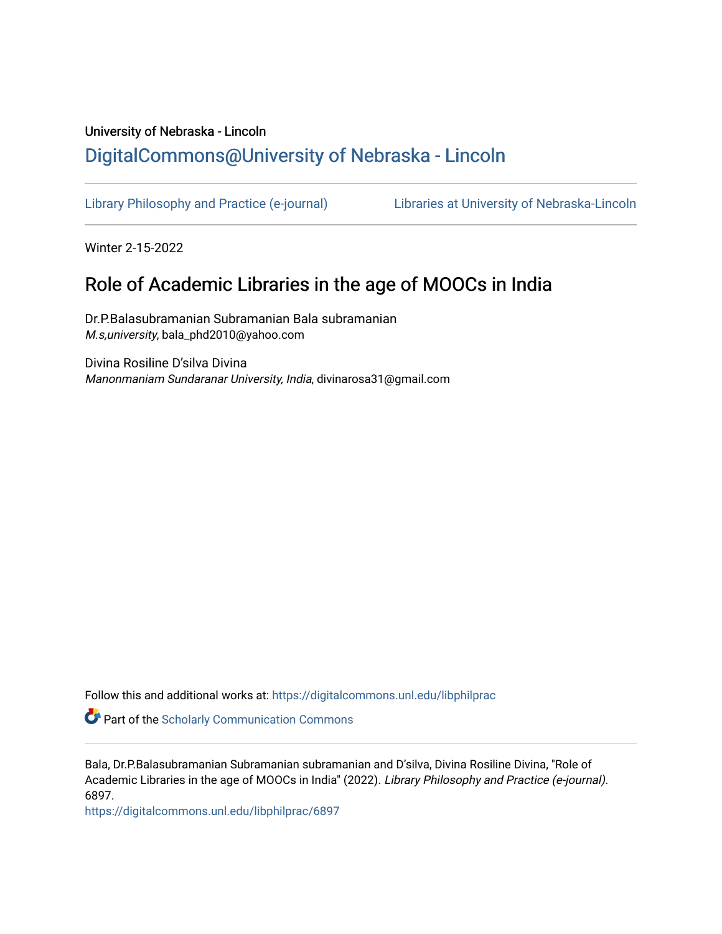# University of Nebraska - Lincoln [DigitalCommons@University of Nebraska - Lincoln](https://digitalcommons.unl.edu/)

[Library Philosophy and Practice \(e-journal\)](https://digitalcommons.unl.edu/libphilprac) [Libraries at University of Nebraska-Lincoln](https://digitalcommons.unl.edu/libraries) 

Winter 2-15-2022

## Role of Academic Libraries in the age of MOOCs in India

Dr.P.Balasubramanian Subramanian Bala subramanian M.s,university, bala\_phd2010@yahoo.com

Divina Rosiline D'silva Divina Manonmaniam Sundaranar University, India, divinarosa31@gmail.com

Follow this and additional works at: [https://digitalcommons.unl.edu/libphilprac](https://digitalcommons.unl.edu/libphilprac?utm_source=digitalcommons.unl.edu%2Flibphilprac%2F6897&utm_medium=PDF&utm_campaign=PDFCoverPages) 

**Part of the Scholarly Communication Commons** 

Bala, Dr.P.Balasubramanian Subramanian subramanian and D'silva, Divina Rosiline Divina, "Role of Academic Libraries in the age of MOOCs in India" (2022). Library Philosophy and Practice (e-journal). 6897.

[https://digitalcommons.unl.edu/libphilprac/6897](https://digitalcommons.unl.edu/libphilprac/6897?utm_source=digitalcommons.unl.edu%2Flibphilprac%2F6897&utm_medium=PDF&utm_campaign=PDFCoverPages)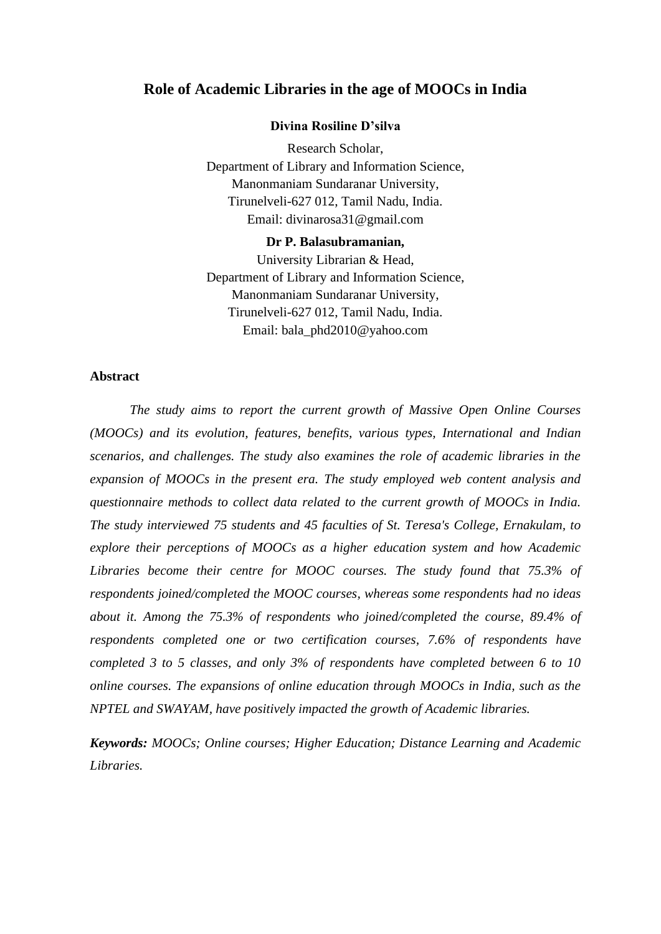## **Role of Academic Libraries in the age of MOOCs in India**

#### **Divina Rosiline D'silva**

Research Scholar, Department of Library and Information Science, Manonmaniam Sundaranar University, Tirunelveli-627 012, Tamil Nadu, India. Email: divinarosa31@gmail.com

#### **Dr P. Balasubramanian,**

University Librarian & Head, Department of Library and Information Science, Manonmaniam Sundaranar University, Tirunelveli-627 012, Tamil Nadu, India. Email: bala\_phd2010@yahoo.com

## **Abstract**

*The study aims to report the current growth of Massive Open Online Courses (MOOCs) and its evolution, features, benefits, various types, International and Indian scenarios, and challenges. The study also examines the role of academic libraries in the expansion of MOOCs in the present era. The study employed web content analysis and questionnaire methods to collect data related to the current growth of MOOCs in India. The study interviewed 75 students and 45 faculties of St. Teresa's College, Ernakulam, to explore their perceptions of MOOCs as a higher education system and how Academic Libraries become their centre for MOOC courses. The study found that 75.3% of respondents joined/completed the MOOC courses, whereas some respondents had no ideas about it. Among the 75.3% of respondents who joined/completed the course, 89.4% of respondents completed one or two certification courses, 7.6% of respondents have completed 3 to 5 classes, and only 3% of respondents have completed between 6 to 10 online courses. The expansions of online education through MOOCs in India, such as the NPTEL and SWAYAM, have positively impacted the growth of Academic libraries.*

*Keywords: MOOCs; Online courses; Higher Education; Distance Learning and Academic Libraries.*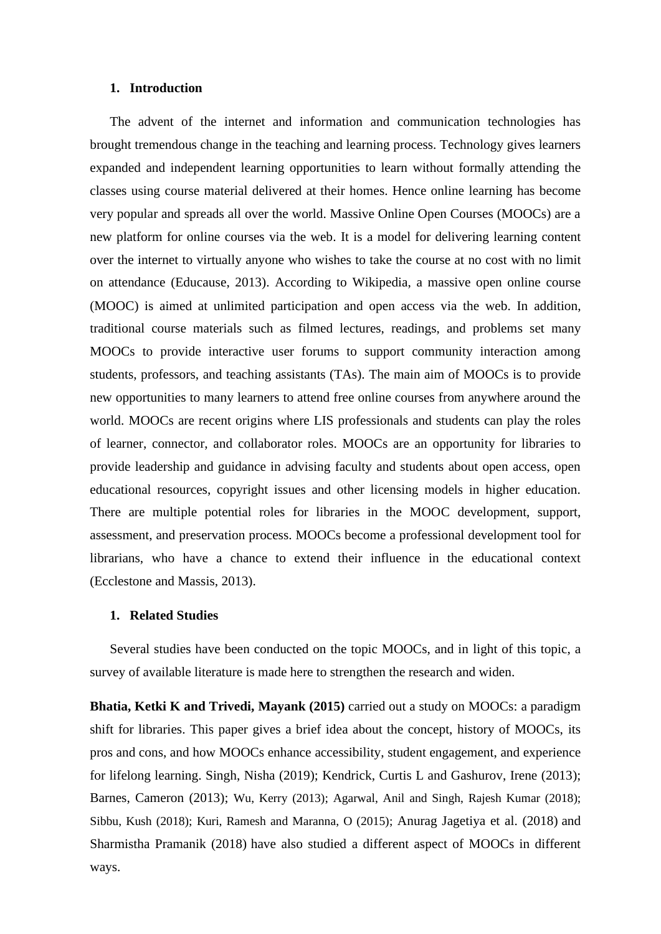#### **1. Introduction**

The advent of the internet and information and communication technologies has brought tremendous change in the teaching and learning process. Technology gives learners expanded and independent learning opportunities to learn without formally attending the classes using course material delivered at their homes. Hence online learning has become very popular and spreads all over the world. Massive Online Open Courses (MOOCs) are a new platform for online courses via the web. It is a model for delivering learning content over the internet to virtually anyone who wishes to take the course at no cost with no limit on attendance (Educause, 2013). According to Wikipedia, a massive open online course (MOOC) is aimed at unlimited participation and open access via the web. In addition, traditional course materials such as filmed lectures, readings, and problems set many MOOCs to provide interactive user forums to support community interaction among students, professors, and teaching assistants (TAs). The main aim of MOOCs is to provide new opportunities to many learners to attend free online courses from anywhere around the world. MOOCs are recent origins where LIS professionals and students can play the roles of learner, connector, and collaborator roles. MOOCs are an opportunity for libraries to provide leadership and guidance in advising faculty and students about open access, open educational resources, copyright issues and other licensing models in higher education. There are multiple potential roles for libraries in the MOOC development, support, assessment, and preservation process. MOOCs become a professional development tool for librarians, who have a chance to extend their influence in the educational context (Ecclestone and Massis, 2013).

## **1. Related Studies**

Several studies have been conducted on the topic MOOCs, and in light of this topic, a survey of available literature is made here to strengthen the research and widen.

**Bhatia, Ketki K and Trivedi, Mayank (2015)** carried out a study on MOOCs: a paradigm shift for libraries. This paper gives a brief idea about the concept, history of MOOCs, its pros and cons, and how MOOCs enhance accessibility, student engagement, and experience for lifelong learning. Singh, Nisha (2019); Kendrick, Curtis L and Gashurov, Irene (2013); Barnes, Cameron (2013); Wu, Kerry (2013); Agarwal, Anil and Singh, Rajesh Kumar (2018); Sibbu, Kush (2018); Kuri, Ramesh and Maranna, O (2015); Anurag Jagetiya et al. (2018) and Sharmistha Pramanik (2018) have also studied a different aspect of MOOCs in different ways.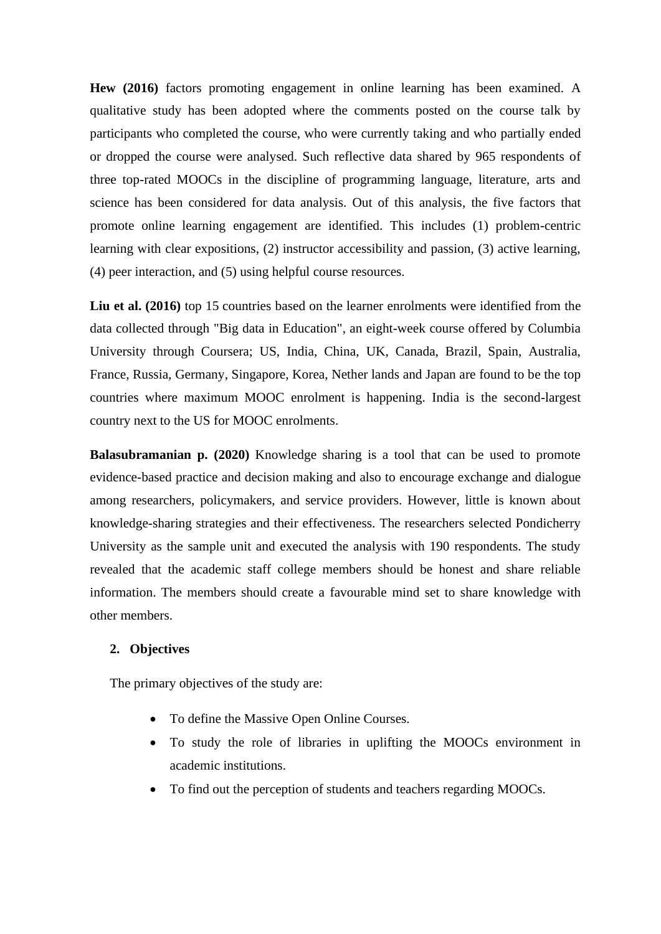**Hew (2016)** factors promoting engagement in online learning has been examined. A qualitative study has been adopted where the comments posted on the course talk by participants who completed the course, who were currently taking and who partially ended or dropped the course were analysed. Such reflective data shared by 965 respondents of three top-rated MOOCs in the discipline of programming language, literature, arts and science has been considered for data analysis. Out of this analysis, the five factors that promote online learning engagement are identified. This includes (1) problem-centric learning with clear expositions, (2) instructor accessibility and passion, (3) active learning, (4) peer interaction, and (5) using helpful course resources.

**Liu et al. (2016)** top 15 countries based on the learner enrolments were identified from the data collected through "Big data in Education", an eight-week course offered by Columbia University through Coursera; US, India, China, UK, Canada, Brazil, Spain, Australia, France, Russia, Germany, Singapore, Korea, Nether lands and Japan are found to be the top countries where maximum MOOC enrolment is happening. India is the second-largest country next to the US for MOOC enrolments.

**Balasubramanian p. (2020)** Knowledge sharing is a tool that can be used to promote evidence-based practice and decision making and also to encourage exchange and dialogue among researchers, policymakers, and service providers. However, little is known about knowledge-sharing strategies and their effectiveness. The researchers selected Pondicherry University as the sample unit and executed the analysis with 190 respondents. The study revealed that the academic staff college members should be honest and share reliable information. The members should create a favourable mind set to share knowledge with other members.

## **2. Objectives**

The primary objectives of the study are:

- To define the Massive Open Online Courses.
- To study the role of libraries in uplifting the MOOCs environment in academic institutions.
- To find out the perception of students and teachers regarding MOOCs.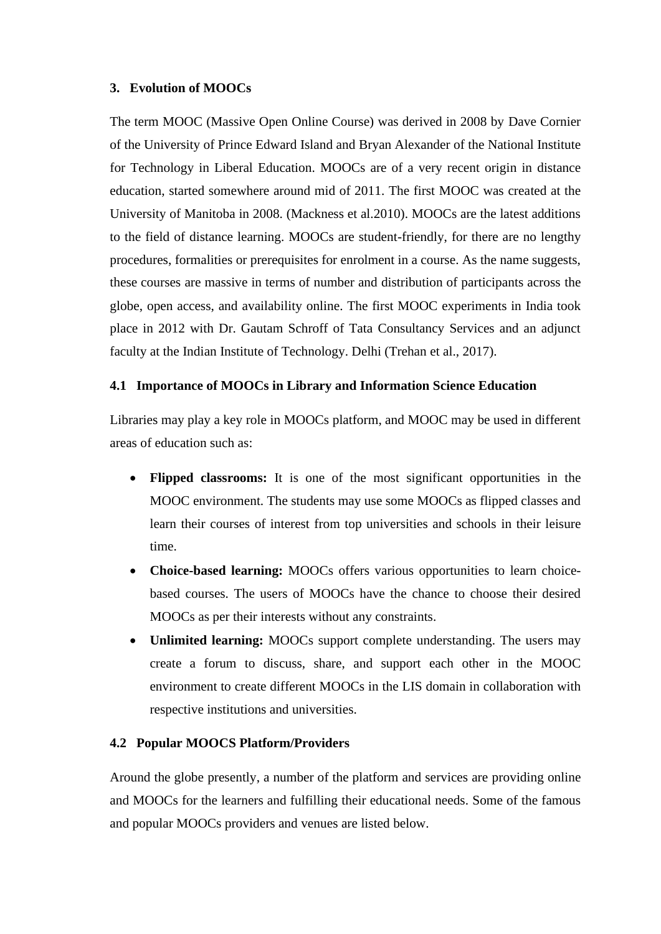## **3. Evolution of MOOCs**

The term MOOC (Massive Open Online Course) was derived in 2008 by Dave Cornier of the University of Prince Edward Island and Bryan Alexander of the National Institute for Technology in Liberal Education. MOOCs are of a very recent origin in distance education, started somewhere around mid of 2011. The first MOOC was created at the University of Manitoba in 2008. (Mackness et al.2010). MOOCs are the latest additions to the field of distance learning. MOOCs are student-friendly, for there are no lengthy procedures, formalities or prerequisites for enrolment in a course. As the name suggests, these courses are massive in terms of number and distribution of participants across the globe, open access, and availability online. The first MOOC experiments in India took place in 2012 with Dr. Gautam Schroff of Tata Consultancy Services and an adjunct faculty at the Indian Institute of Technology. Delhi (Trehan et al., 2017).

## **4.1 Importance of MOOCs in Library and Information Science Education**

Libraries may play a key role in MOOCs platform, and MOOC may be used in different areas of education such as:

- **Flipped classrooms:** It is one of the most significant opportunities in the MOOC environment. The students may use some MOOCs as flipped classes and learn their courses of interest from top universities and schools in their leisure time.
- **Choice-based learning:** MOOCs offers various opportunities to learn choicebased courses. The users of MOOCs have the chance to choose their desired MOOCs as per their interests without any constraints.
- **Unlimited learning:** MOOCs support complete understanding. The users may create a forum to discuss, share, and support each other in the MOOC environment to create different MOOCs in the LIS domain in collaboration with respective institutions and universities.

## **4.2 Popular MOOCS Platform/Providers**

Around the globe presently, a number of the platform and services are providing online and MOOCs for the learners and fulfilling their educational needs. Some of the famous and popular MOOCs providers and venues are listed below.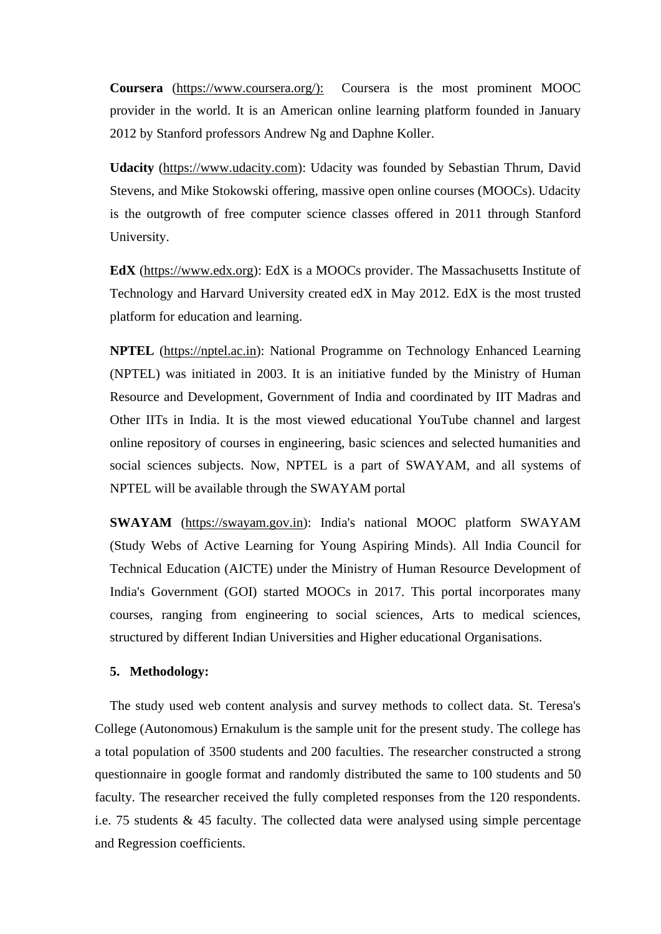**Coursera** [\(https://www.coursera.org/\):](https://www.coursera.org/):) Coursera is the most prominent MOOC provider in the world. It is an American online learning platform founded in January 2012 by Stanford professors Andrew Ng and Daphne Koller.

**Udacity** [\(https://www.udacity.com\)](https://www.udacity.com/): Udacity was founded by Sebastian Thrum, David Stevens, and Mike Stokowski offering, massive open online courses (MOOCs). Udacity is the outgrowth of free computer science classes offered in 2011 through Stanford University.

**EdX** [\(https://www.edx.org\)](https://www.edx.org/): EdX is a MOOCs provider. The Massachusetts Institute of Technology and Harvard University created edX in May 2012. EdX is the most trusted platform for education and learning.

**NPTEL** [\(https://nptel.ac.in\)](https://nptel.ac.in/): National Programme on Technology Enhanced Learning (NPTEL) was initiated in 2003. It is an initiative funded by the Ministry of Human Resource and Development, Government of India and coordinated by IIT Madras and Other IITs in India. It is the most viewed educational YouTube channel and largest online repository of courses in engineering, basic sciences and selected humanities and social sciences subjects. Now, NPTEL is a part of SWAYAM, and all systems of NPTEL will be available through the SWAYAM portal

**SWAYAM** [\(https://swayam.gov.in\)](https://swayam.gov.in/): India's national MOOC platform SWAYAM (Study Webs of Active Learning for Young Aspiring Minds). All India Council for Technical Education (AICTE) under the Ministry of Human Resource Development of India's Government (GOI) started MOOCs in 2017. This portal incorporates many courses, ranging from engineering to social sciences, Arts to medical sciences, structured by different Indian Universities and Higher educational Organisations.

## **5. Methodology:**

The study used web content analysis and survey methods to collect data. St. Teresa's College (Autonomous) Ernakulum is the sample unit for the present study. The college has a total population of 3500 students and 200 faculties. The researcher constructed a strong questionnaire in google format and randomly distributed the same to 100 students and 50 faculty. The researcher received the fully completed responses from the 120 respondents. i.e. 75 students & 45 faculty. The collected data were analysed using simple percentage and Regression coefficients.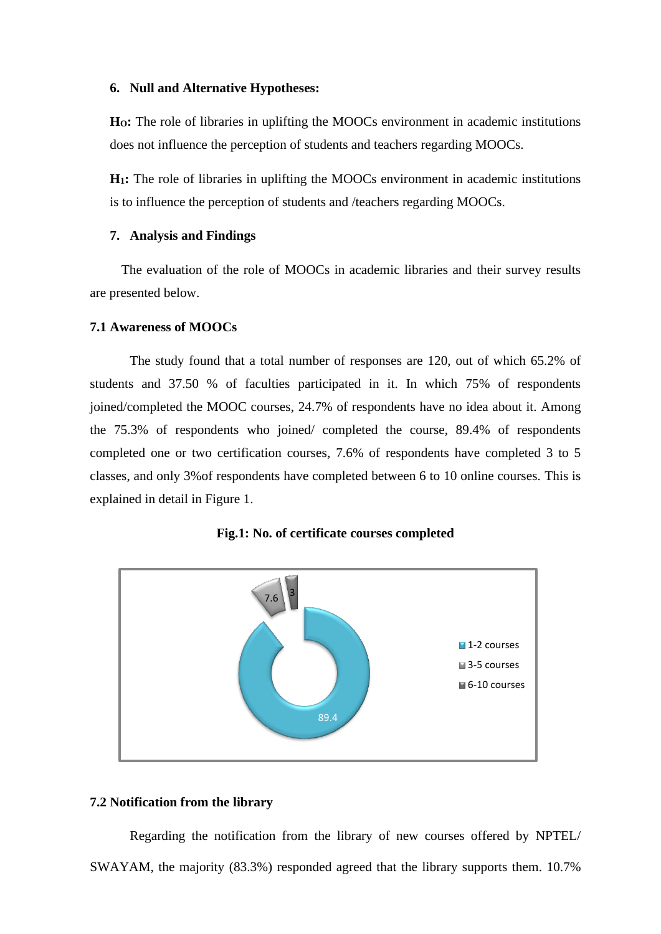#### **6. Null and Alternative Hypotheses:**

**HO:** The role of libraries in uplifting the MOOCs environment in academic institutions does not influence the perception of students and teachers regarding MOOCs.

**H1:** The role of libraries in uplifting the MOOCs environment in academic institutions is to influence the perception of students and /teachers regarding MOOCs.

## **7. Analysis and Findings**

The evaluation of the role of MOOCs in academic libraries and their survey results are presented below.

#### **7.1 Awareness of MOOCs**

The study found that a total number of responses are 120, out of which 65.2% of students and 37.50 % of faculties participated in it. In which 75% of respondents joined/completed the MOOC courses, 24.7% of respondents have no idea about it. Among the 75.3% of respondents who joined/ completed the course, 89.4% of respondents completed one or two certification courses, 7.6% of respondents have completed 3 to 5 classes, and only 3%of respondents have completed between 6 to 10 online courses. This is explained in detail in Figure 1.





#### **7.2 Notification from the library**

Regarding the notification from the library of new courses offered by NPTEL/ SWAYAM, the majority (83.3%) responded agreed that the library supports them. 10.7%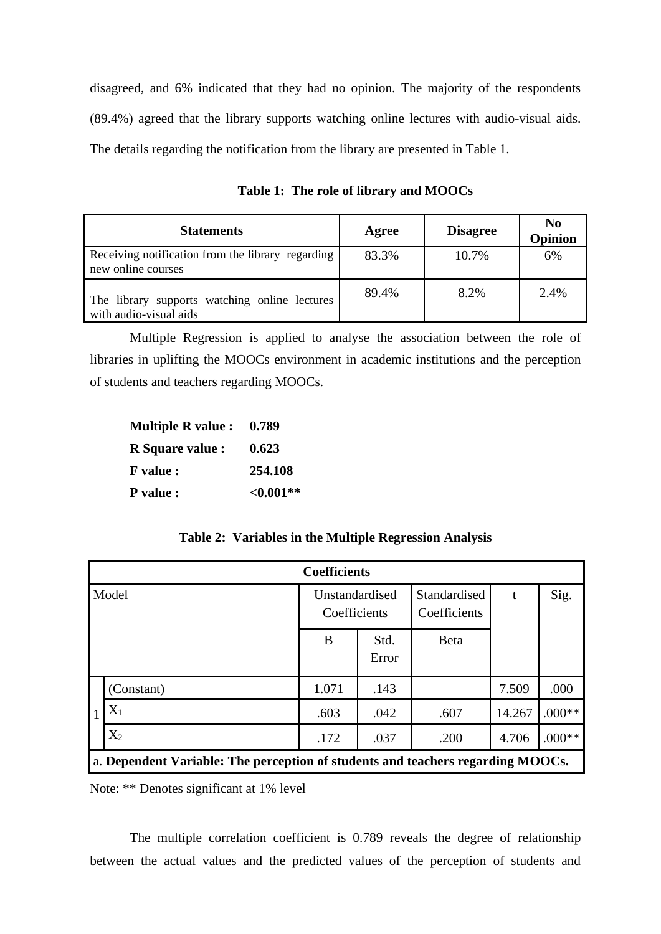disagreed, and 6% indicated that they had no opinion. The majority of the respondents (89.4%) agreed that the library supports watching online lectures with audio-visual aids. The details regarding the notification from the library are presented in Table 1.

**Statements Agree Disagree No Opinion** Receiving notification from the library regarding new online courses 83.3% 10.7% 6% The library supports watching online lectures with audio-visual aids 89.4% 8.2% 2.4%

**Table 1: The role of library and MOOCs**

Multiple Regression is applied to analyse the association between the role of libraries in uplifting the MOOCs environment in academic institutions and the perception of students and teachers regarding MOOCs.

| <b>Multiple R value:</b> | 0.789        |  |  |
|--------------------------|--------------|--|--|
| R Square value :         | 0.623        |  |  |
| <b>F</b> value :         | 254.108      |  |  |
| <b>P</b> value :         | ${<}0.001**$ |  |  |

## **Table 2: Variables in the Multiple Regression Analysis**

| <b>Coefficients</b>                                                             |            |                                |               |                              |        |          |  |  |
|---------------------------------------------------------------------------------|------------|--------------------------------|---------------|------------------------------|--------|----------|--|--|
| Model                                                                           |            | Unstandardised<br>Coefficients |               | Standardised<br>Coefficients | t      | Sig.     |  |  |
|                                                                                 |            | B                              | Std.<br>Error | <b>B</b> eta                 |        |          |  |  |
|                                                                                 | (Constant) | 1.071                          | .143          |                              | 7.509  | .000     |  |  |
|                                                                                 | $X_1$      | .603                           | .042          | .607                         | 14.267 | $.000**$ |  |  |
|                                                                                 | $X_2$      | .172                           | .037          | .200                         | 4.706  | $.000**$ |  |  |
| a. Dependent Variable: The perception of students and teachers regarding MOOCs. |            |                                |               |                              |        |          |  |  |

Note: \*\* Denotes significant at 1% level

The multiple correlation coefficient is 0.789 reveals the degree of relationship between the actual values and the predicted values of the perception of students and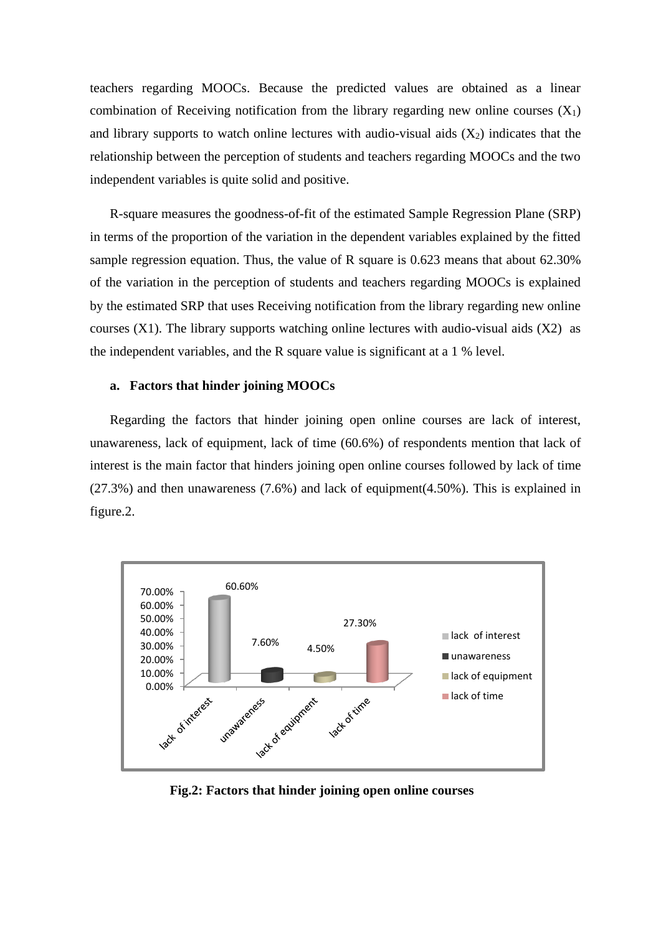teachers regarding MOOCs. Because the predicted values are obtained as a linear combination of Receiving notification from the library regarding new online courses  $(X_1)$ and library supports to watch online lectures with audio-visual aids  $(X_2)$  indicates that the relationship between the perception of students and teachers regarding MOOCs and the two independent variables is quite solid and positive.

R-square measures the goodness-of-fit of the estimated Sample Regression Plane (SRP) in terms of the proportion of the variation in the dependent variables explained by the fitted sample regression equation. Thus, the value of R square is 0.623 means that about 62.30% of the variation in the perception of students and teachers regarding MOOCs is explained by the estimated SRP that uses Receiving notification from the library regarding new online courses  $(X1)$ . The library supports watching online lectures with audio-visual aids  $(X2)$  as the independent variables, and the R square value is significant at a 1 % level.

## **a. Factors that hinder joining MOOCs**

Regarding the factors that hinder joining open online courses are lack of interest, unawareness, lack of equipment, lack of time (60.6%) of respondents mention that lack of interest is the main factor that hinders joining open online courses followed by lack of time (27.3%) and then unawareness (7.6%) and lack of equipment(4.50%). This is explained in figure.2.



**Fig.2: Factors that hinder joining open online courses**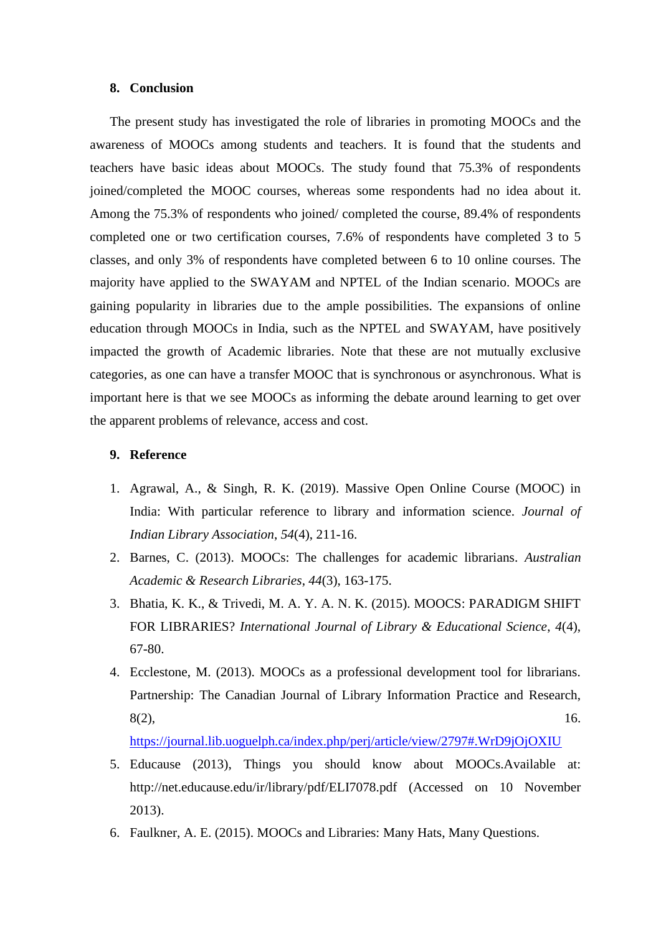## **8. Conclusion**

The present study has investigated the role of libraries in promoting MOOCs and the awareness of MOOCs among students and teachers. It is found that the students and teachers have basic ideas about MOOCs. The study found that 75.3% of respondents joined/completed the MOOC courses, whereas some respondents had no idea about it. Among the 75.3% of respondents who joined/ completed the course, 89.4% of respondents completed one or two certification courses, 7.6% of respondents have completed 3 to 5 classes, and only 3% of respondents have completed between 6 to 10 online courses. The majority have applied to the SWAYAM and NPTEL of the Indian scenario. MOOCs are gaining popularity in libraries due to the ample possibilities. The expansions of online education through MOOCs in India, such as the NPTEL and SWAYAM, have positively impacted the growth of Academic libraries. Note that these are not mutually exclusive categories, as one can have a transfer MOOC that is synchronous or asynchronous. What is important here is that we see MOOCs as informing the debate around learning to get over the apparent problems of relevance, access and cost.

## **9. Reference**

- 1. Agrawal, A., & Singh, R. K. (2019). Massive Open Online Course (MOOC) in India: With particular reference to library and information science. *Journal of Indian Library Association*, *54*(4), 211-16.
- 2. Barnes, C. (2013). MOOCs: The challenges for academic librarians. *Australian Academic & Research Libraries*, *44*(3), 163-175.
- 3. Bhatia, K. K., & Trivedi, M. A. Y. A. N. K. (2015). MOOCS: PARADIGM SHIFT FOR LIBRARIES? *International Journal of Library & Educational Science*, *4*(4), 67-80.
- 4. Ecclestone, M. (2013). MOOCs as a professional development tool for librarians. Partnership: The Canadian Journal of Library Information Practice and Research,  $8(2)$ , 16.

<https://journal.lib.uoguelph.ca/index.php/perj/article/view/2797#.WrD9jOjOXIU>

- 5. Educause (2013), Things you should know about MOOCs.Available at: http://net.educause.edu/ir/library/pdf/ELI7078.pdf (Accessed on 10 November 2013).
- 6. Faulkner, A. E. (2015). MOOCs and Libraries: Many Hats, Many Questions.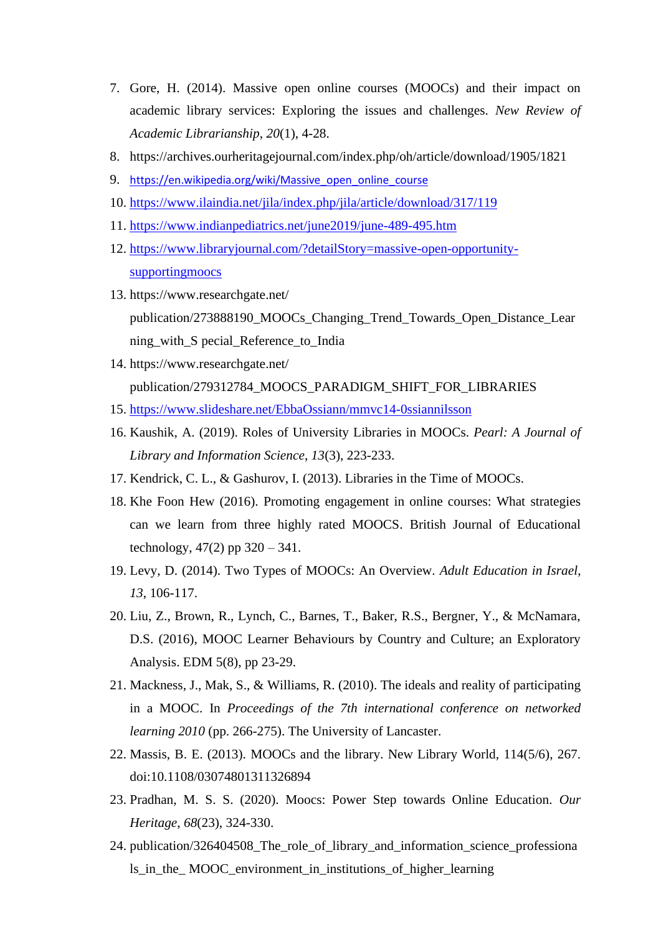- 7. Gore, H. (2014). Massive open online courses (MOOCs) and their impact on academic library services: Exploring the issues and challenges. *New Review of Academic Librarianship*, *20*(1), 4-28.
- 8. https://archives.ourheritagejournal.com/index.php/oh/article/download/1905/1821
- 9. [https://en.wikipedia.org/wiki/Massive\\_open\\_online\\_course](https://en.wikipedia.org/wiki/Massive_open_online_course)
- 10. <https://www.ilaindia.net/jila/index.php/jila/article/download/317/119>
- 11. <https://www.indianpediatrics.net/june2019/june-489-495.htm>
- 12. [https://www.libraryjournal.com/?detailStory=massive-open-opportunity](https://www.libraryjournal.com/?detailStory=massive-open-opportunity-supportingmoocs)[supportingmoocs](https://www.libraryjournal.com/?detailStory=massive-open-opportunity-supportingmoocs)
- 13. https://www.researchgate.net/ publication/273888190\_MOOCs\_Changing\_Trend\_Towards\_Open\_Distance\_Lear ning\_with\_S pecial\_Reference\_to\_India
- 14. https://www.researchgate.net/ publication/279312784\_MOOCS\_PARADIGM\_SHIFT\_FOR\_LIBRARIES
- 15. <https://www.slideshare.net/EbbaOssiann/mmvc14-0ssiannilsson>
- 16. Kaushik, A. (2019). Roles of University Libraries in MOOCs. *Pearl: A Journal of Library and Information Science*, *13*(3), 223-233.
- 17. Kendrick, C. L., & Gashurov, I. (2013). Libraries in the Time of MOOCs.
- 18. Khe Foon Hew (2016). Promoting engagement in online courses: What strategies can we learn from three highly rated MOOCS. British Journal of Educational technology,  $47(2)$  pp  $320 - 341$ .
- 19. Levy, D. (2014). Two Types of MOOCs: An Overview. *Adult Education in Israel*, *13*, 106-117.
- 20. Liu, Z., Brown, R., Lynch, C., Barnes, T., Baker, R.S., Bergner, Y., & McNamara, D.S. (2016), MOOC Learner Behaviours by Country and Culture; an Exploratory Analysis. EDM 5(8), pp 23-29.
- 21. Mackness, J., Mak, S., & Williams, R. (2010). The ideals and reality of participating in a MOOC. In *Proceedings of the 7th international conference on networked learning 2010* (pp. 266-275). The University of Lancaster.
- 22. Massis, B. E. (2013). MOOCs and the library. New Library World, 114(5/6), 267. doi:10.1108/03074801311326894
- 23. Pradhan, M. S. S. (2020). Moocs: Power Step towards Online Education. *Our Heritage*, *68*(23), 324-330.
- 24. publication/326404508 The role of library and information science professiona ls\_in\_the\_ MOOC\_environment\_in\_institutions\_of\_higher\_learning